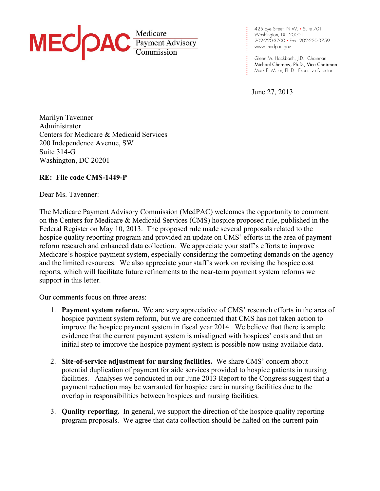

**. . .** 202-220-3700 • Fax: 202-220-3759 **. . . .** www.medpac.gov 425 Eye Street, N.W. • Suite 701 Washington, DC 20001

**. .** Glenn M. Hackbarth, J.D., Chairman Michael Chernew, Ph.D., Vice Chairman Mark E. Miller, Ph.D., Executive Director

June 27, 2013

**. . . . . .**

**. .**

**. . . . . . .**

Marilyn Tavenner Administrator Centers for Medicare & Medicaid Services 200 Independence Avenue, SW Suite 314-G Washington, DC 20201

### **RE: File code CMS-1449-P**

Dear Ms. Tavenner:

The Medicare Payment Advisory Commission (MedPAC) welcomes the opportunity to comment on the Centers for Medicare & Medicaid Services (CMS) hospice proposed rule, published in the Federal Register on May 10, 2013. The proposed rule made several proposals related to the hospice quality reporting program and provided an update on CMS' efforts in the area of payment reform research and enhanced data collection. We appreciate your staff's efforts to improve Medicare's hospice payment system, especially considering the competing demands on the agency and the limited resources. We also appreciate your staff's work on revising the hospice cost reports, which will facilitate future refinements to the near-term payment system reforms we support in this letter.

Our comments focus on three areas:

- 1. **Payment system reform.** We are very appreciative of CMS' research efforts in the area of hospice payment system reform, but we are concerned that CMS has not taken action to improve the hospice payment system in fiscal year 2014. We believe that there is ample evidence that the current payment system is misaligned with hospices' costs and that an initial step to improve the hospice payment system is possible now using available data.
- 2. **Site-of-service adjustment for nursing facilities.** We share CMS' concern about potential duplication of payment for aide services provided to hospice patients in nursing facilities. Analyses we conducted in our June 2013 Report to the Congress suggest that a payment reduction may be warranted for hospice care in nursing facilities due to the overlap in responsibilities between hospices and nursing facilities.
- 3. **Quality reporting.** In general, we support the direction of the hospice quality reporting program proposals. We agree that data collection should be halted on the current pain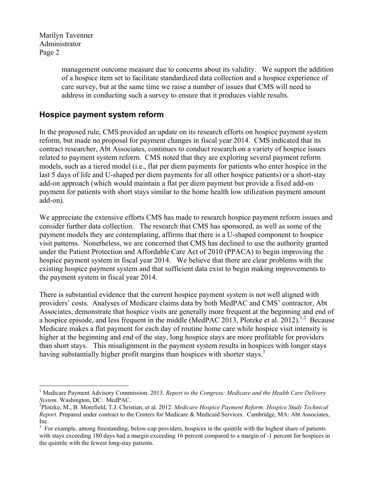1

management outcome measure due to concerns about its validity. We support the addition of a hospice item set to facilitate standardized data collection and a hospice experience of care survey, but at the same time we raise a number of issues that CMS will need to address in conducting such a survey to ensure that it produces viable results.

## **Hospice payment system reform**

In the proposed rule, CMS provided an update on its research efforts on hospice payment system reform, but made no proposal for payment changes in fiscal year 2014. CMS indicated that its contract researcher, Abt Associates, continues to conduct research on a variety of hospice issues related to payment system reform. CMS noted that they are exploring several payment reform models, such as a tiered model (i.e., flat per diem payments for patients who enter hospice in the last 5 days of life and U-shaped per diem payments for all other hospice patients) or a short-stay add-on approach (which would maintain a flat per diem payment but provide a fixed add-on payment for patients with short stays similar to the home health low utilization payment amount add-on).

We appreciate the extensive efforts CMS has made to research hospice payment reform issues and consider further data collection. The research that CMS has sponsored, as well as some of the payment models they are contemplating, affirms that there is a U-shaped component to hospice visit patterns. Nonetheless, we are concerned that CMS has declined to use the authority granted under the Patient Protection and Affordable Care Act of 2010 (PPACA) to begin improving the hospice payment system in fiscal year 2014. We believe that there are clear problems with the existing hospice payment system and that sufficient data exist to begin making improvements to the payment system in fiscal year 2014.

There is substantial evidence that the current hospice payment system is not well aligned with providers' costs. Analyses of Medicare claims data by both MedPAC and CMS' contractor, Abt Associates, demonstrate that hospice visits are generally more frequent at the beginning and end of a hospice episode, and less frequent in the middle (MedPAC 2013, Plotzke et al. 2012).<sup>1,2</sup> Because Medicare makes a flat payment for each day of routine home care while hospice visit intensity is higher at the beginning and end of the stay, long hospice stays are more profitable for providers than short stays. This misalignment in the payment system results in hospices with longer stays having substantially higher profit margins than hospices with shorter stays.<sup>3</sup>

<sup>&</sup>lt;sup>1</sup> Medicare Payment Advisory Commission. 2013. *Report to the Congress: Medicare and the Health Care Delivery System.* Washington, DC: MedPAC.

Plotzke, M., B. Morefield, T.J. Christian, et al. 2012. *Medicare Hospice Payment Reform: Hospice Study Technical Report.* Prepared under contract to the Centers for Medicare & Medicaid Services. Cambridge, MA: Abt Associates, Inc.

<sup>&</sup>lt;sup>3</sup> For example, among freestanding, below-cap providers, hospices in the quintile with the highest share of patients with stays exceeding 180 days had a margin exceeding 16 percent compared to a margin of -1 percent for hospices in the quintile with the fewest long-stay patients.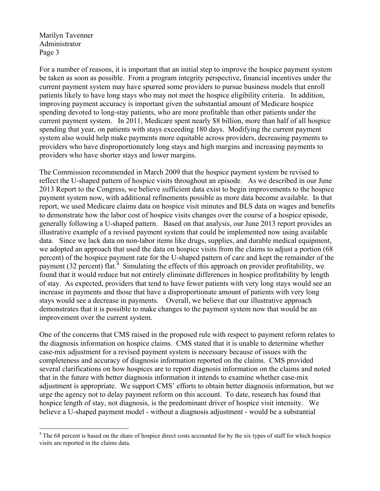1

For a number of reasons, it is important that an initial step to improve the hospice payment system be taken as soon as possible. From a program integrity perspective, financial incentives under the current payment system may have spurred some providers to pursue business models that enroll patients likely to have long stays who may not meet the hospice eligibility criteria. In addition, improving payment accuracy is important given the substantial amount of Medicare hospice spending devoted to long-stay patients, who are more profitable than other patients under the current payment system. In 2011, Medicare spent nearly \$8 billion, more than half of all hospice spending that year, on patients with stays exceeding 180 days. Modifying the current payment system also would help make payments more equitable across providers, decreasing payments to providers who have disproportionately long stays and high margins and increasing payments to providers who have shorter stays and lower margins.

The Commission recommended in March 2009 that the hospice payment system be revised to reflect the U-shaped pattern of hospice visits throughout an episode. As we described in our June 2013 Report to the Congress, we believe sufficient data exist to begin improvements to the hospice payment system now, with additional refinements possible as more data become available. In that report, we used Medicare claims data on hospice visit minutes and BLS data on wages and benefits to demonstrate how the labor cost of hospice visits changes over the course of a hospice episode, generally following a U-shaped pattern. Based on that analysis, our June 2013 report provides an illustrative example of a revised payment system that could be implemented now using available data. Since we lack data on non-labor items like drugs, supplies, and durable medical equipment, we adopted an approach that used the data on hospice visits from the claims to adjust a portion (68 percent) of the hospice payment rate for the U-shaped pattern of care and kept the remainder of the payment (32 percent) flat.<sup>4</sup> Simulating the effects of this approach on provider profitability, we found that it would reduce but not entirely eliminate differences in hospice profitability by length of stay. As expected, providers that tend to have fewer patients with very long stays would see an increase in payments and those that have a disproportionate amount of patients with very long stays would see a decrease in payments. Overall, we believe that our illustrative approach demonstrates that it is possible to make changes to the payment system now that would be an improvement over the current system.

One of the concerns that CMS raised in the proposed rule with respect to payment reform relates to the diagnosis information on hospice claims. CMS stated that it is unable to determine whether case-mix adjustment for a revised payment system is necessary because of issues with the completeness and accuracy of diagnosis information reported on the claims. CMS provided several clarifications on how hospices are to report diagnosis information on the claims and noted that in the future with better diagnosis information it intends to examine whether case-mix adjustment is appropriate. We support CMS' efforts to obtain better diagnosis information, but we urge the agency not to delay payment reform on this account. To date, research has found that hospice length of stay, not diagnosis, is the predominant driver of hospice visit intensity. We believe a U-shaped payment model - without a diagnosis adjustment - would be a substantial

<sup>&</sup>lt;sup>4</sup> The 68 percent is based on the share of hospice direct costs accounted for by the six types of staff for which hospice visits are reported in the claims data.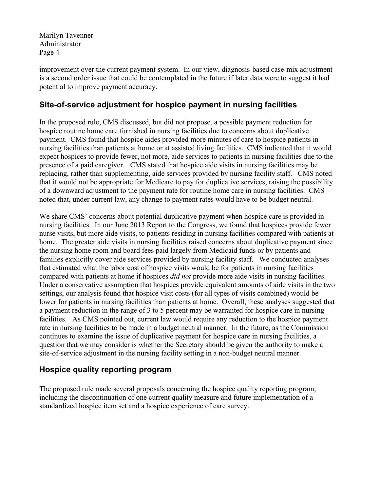improvement over the current payment system. In our view, diagnosis-based case-mix adjustment is a second order issue that could be contemplated in the future if later data were to suggest it had potential to improve payment accuracy.

# **Site-of-service adjustment for hospice payment in nursing facilities**

In the proposed rule, CMS discussed, but did not propose, a possible payment reduction for hospice routine home care furnished in nursing facilities due to concerns about duplicative payment. CMS found that hospice aides provided more minutes of care to hospice patients in nursing facilities than patients at home or at assisted living facilities. CMS indicated that it would expect hospices to provide fewer, not more, aide services to patients in nursing facilities due to the presence of a paid caregiver. CMS stated that hospice aide visits in nursing facilities may be replacing, rather than supplementing, aide services provided by nursing facility staff. CMS noted that it would not be appropriate for Medicare to pay for duplicative services, raising the possibility of a downward adjustment to the payment rate for routine home care in nursing facilities. CMS noted that, under current law, any change to payment rates would have to be budget neutral.

We share CMS' concerns about potential duplicative payment when hospice care is provided in nursing facilities. In our June 2013 Report to the Congress, we found that hospices provide fewer nurse visits, but more aide visits, to patients residing in nursing facilities compared with patients at home. The greater aide visits in nursing facilities raised concerns about duplicative payment since the nursing home room and board fees paid largely from Medicaid funds or by patients and families explicitly cover aide services provided by nursing facility staff. We conducted analyses that estimated what the labor cost of hospice visits would be for patients in nursing facilities compared with patients at home if hospices *did not* provide more aide visits in nursing facilities. Under a conservative assumption that hospices provide equivalent amounts of aide visits in the two settings, our analysis found that hospice visit costs (for all types of visits combined) would be lower for patients in nursing facilities than patients at home. Overall, these analyses suggested that a payment reduction in the range of 3 to 5 percent may be warranted for hospice care in nursing facilities. As CMS pointed out, current law would require any reduction to the hospice payment rate in nursing facilities to be made in a budget neutral manner. In the future, as the Commission continues to examine the issue of duplicative payment for hospice care in nursing facilities, a question that we may consider is whether the Secretary should be given the authority to make a site-of-service adjustment in the nursing facility setting in a non-budget neutral manner.

# **Hospice quality reporting program**

The proposed rule made several proposals concerning the hospice quality reporting program, including the discontinuation of one current quality measure and future implementation of a standardized hospice item set and a hospice experience of care survey.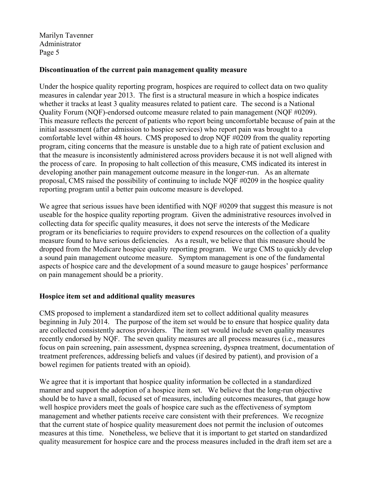#### **Discontinuation of the current pain management quality measure**

Under the hospice quality reporting program, hospices are required to collect data on two quality measures in calendar year 2013. The first is a structural measure in which a hospice indicates whether it tracks at least 3 quality measures related to patient care. The second is a National Quality Forum (NQF)-endorsed outcome measure related to pain management (NQF #0209). This measure reflects the percent of patients who report being uncomfortable because of pain at the initial assessment (after admission to hospice services) who report pain was brought to a comfortable level within 48 hours. CMS proposed to drop NQF #0209 from the quality reporting program, citing concerns that the measure is unstable due to a high rate of patient exclusion and that the measure is inconsistently administered across providers because it is not well aligned with the process of care. In proposing to halt collection of this measure, CMS indicated its interest in developing another pain management outcome measure in the longer-run. As an alternate proposal, CMS raised the possibility of continuing to include NQF #0209 in the hospice quality reporting program until a better pain outcome measure is developed.

We agree that serious issues have been identified with NQF #0209 that suggest this measure is not useable for the hospice quality reporting program. Given the administrative resources involved in collecting data for specific quality measures, it does not serve the interests of the Medicare program or its beneficiaries to require providers to expend resources on the collection of a quality measure found to have serious deficiencies. As a result, we believe that this measure should be dropped from the Medicare hospice quality reporting program. We urge CMS to quickly develop a sound pain management outcome measure. Symptom management is one of the fundamental aspects of hospice care and the development of a sound measure to gauge hospices' performance on pain management should be a priority.

### **Hospice item set and additional quality measures**

CMS proposed to implement a standardized item set to collect additional quality measures beginning in July 2014. The purpose of the item set would be to ensure that hospice quality data are collected consistently across providers. The item set would include seven quality measures recently endorsed by NQF. The seven quality measures are all process measures (i.e., measures focus on pain screening, pain assessment, dyspnea screening, dyspnea treatment, documentation of treatment preferences, addressing beliefs and values (if desired by patient), and provision of a bowel regimen for patients treated with an opioid).

We agree that it is important that hospice quality information be collected in a standardized manner and support the adoption of a hospice item set. We believe that the long-run objective should be to have a small, focused set of measures, including outcomes measures, that gauge how well hospice providers meet the goals of hospice care such as the effectiveness of symptom management and whether patients receive care consistent with their preferences. We recognize that the current state of hospice quality measurement does not permit the inclusion of outcomes measures at this time. Nonetheless, we believe that it is important to get started on standardized quality measurement for hospice care and the process measures included in the draft item set are a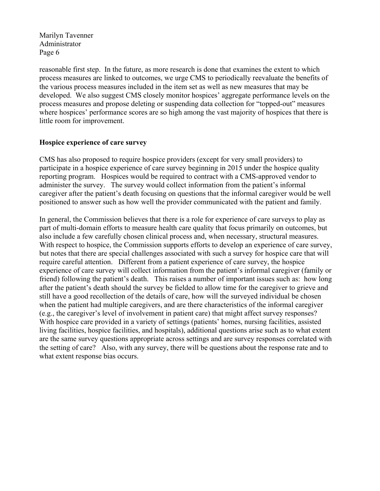reasonable first step. In the future, as more research is done that examines the extent to which process measures are linked to outcomes, we urge CMS to periodically reevaluate the benefits of the various process measures included in the item set as well as new measures that may be developed. We also suggest CMS closely monitor hospices' aggregate performance levels on the process measures and propose deleting or suspending data collection for "topped-out" measures where hospices' performance scores are so high among the vast majority of hospices that there is little room for improvement.

#### **Hospice experience of care survey**

CMS has also proposed to require hospice providers (except for very small providers) to participate in a hospice experience of care survey beginning in 2015 under the hospice quality reporting program. Hospices would be required to contract with a CMS-approved vendor to administer the survey. The survey would collect information from the patient's informal caregiver after the patient's death focusing on questions that the informal caregiver would be well positioned to answer such as how well the provider communicated with the patient and family.

In general, the Commission believes that there is a role for experience of care surveys to play as part of multi-domain efforts to measure health care quality that focus primarily on outcomes, but also include a few carefully chosen clinical process and, when necessary, structural measures. With respect to hospice, the Commission supports efforts to develop an experience of care survey, but notes that there are special challenges associated with such a survey for hospice care that will require careful attention. Different from a patient experience of care survey, the hospice experience of care survey will collect information from the patient's informal caregiver (family or friend) following the patient's death. This raises a number of important issues such as: how long after the patient's death should the survey be fielded to allow time for the caregiver to grieve and still have a good recollection of the details of care, how will the surveyed individual be chosen when the patient had multiple caregivers, and are there characteristics of the informal caregiver (e.g., the caregiver's level of involvement in patient care) that might affect survey responses? With hospice care provided in a variety of settings (patients' homes, nursing facilities, assisted living facilities, hospice facilities, and hospitals), additional questions arise such as to what extent are the same survey questions appropriate across settings and are survey responses correlated with the setting of care? Also, with any survey, there will be questions about the response rate and to what extent response bias occurs.